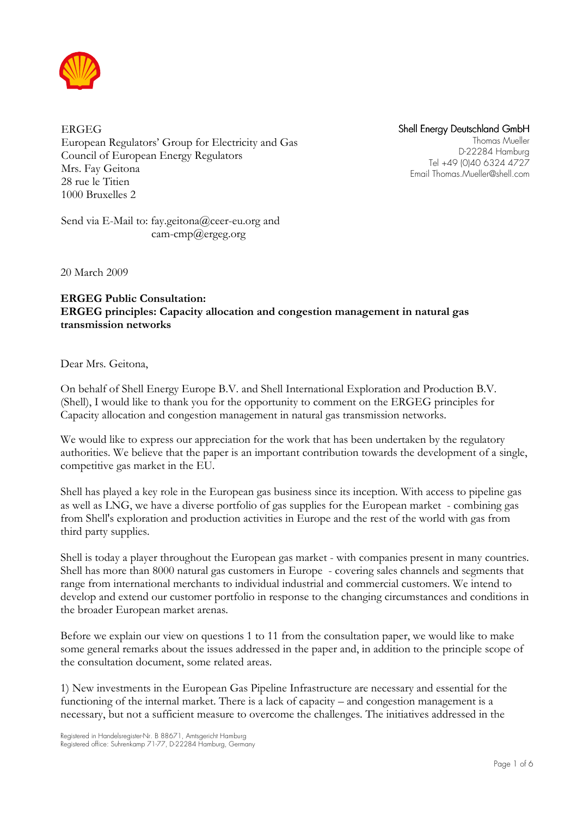

ERGEG European Regulators' Group for Electricity and Gas Council of European Energy Regulators Mrs. Fay Geitona 28 rue le Titien 1000 Bruxelles 2

Shell Energy Deutschland GmbH

Thomas Mueller D-22284 Hamburg Tel +49 (0)40 6324 4727 Email Thomas.Mueller@shell.com

Send via E-Mail to: fay.geitona@ceer-eu.org and cam-cmp@ergeg.org

20 March 2009

# ERGEG Public Consultation: ERGEG principles: Capacity allocation and congestion management in natural gas transmission networks

Dear Mrs. Geitona,

On behalf of Shell Energy Europe B.V. and Shell International Exploration and Production B.V. (Shell), I would like to thank you for the opportunity to comment on the ERGEG principles for Capacity allocation and congestion management in natural gas transmission networks.

We would like to express our appreciation for the work that has been undertaken by the regulatory authorities. We believe that the paper is an important contribution towards the development of a single, competitive gas market in the EU.

Shell has played a key role in the European gas business since its inception. With access to pipeline gas as well as LNG, we have a diverse portfolio of gas supplies for the European market - combining gas from Shell's exploration and production activities in Europe and the rest of the world with gas from third party supplies.

Shell is today a player throughout the European gas market - with companies present in many countries. Shell has more than 8000 natural gas customers in Europe - covering sales channels and segments that range from international merchants to individual industrial and commercial customers. We intend to develop and extend our customer portfolio in response to the changing circumstances and conditions in the broader European market arenas.

Before we explain our view on questions 1 to 11 from the consultation paper, we would like to make some general remarks about the issues addressed in the paper and, in addition to the principle scope of the consultation document, some related areas.

1) New investments in the European Gas Pipeline Infrastructure are necessary and essential for the functioning of the internal market. There is a lack of capacity – and congestion management is a necessary, but not a sufficient measure to overcome the challenges. The initiatives addressed in the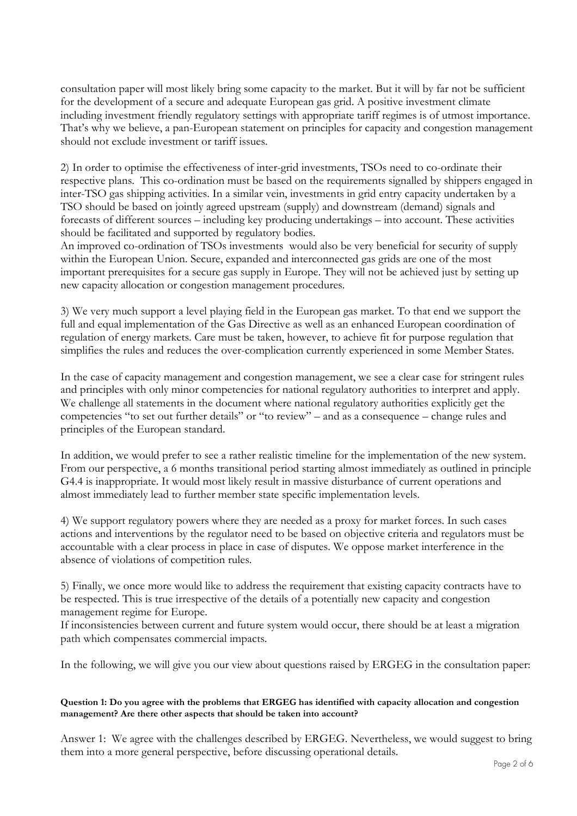consultation paper will most likely bring some capacity to the market. But it will by far not be sufficient for the development of a secure and adequate European gas grid. A positive investment climate including investment friendly regulatory settings with appropriate tariff regimes is of utmost importance. That's why we believe, a pan-European statement on principles for capacity and congestion management should not exclude investment or tariff issues.

2) In order to optimise the effectiveness of inter-grid investments, TSOs need to co-ordinate their respective plans. This co-ordination must be based on the requirements signalled by shippers engaged in inter-TSO gas shipping activities. In a similar vein, investments in grid entry capacity undertaken by a TSO should be based on jointly agreed upstream (supply) and downstream (demand) signals and forecasts of different sources – including key producing undertakings – into account. These activities should be facilitated and supported by regulatory bodies.

An improved co-ordination of TSOs investments would also be very beneficial for security of supply within the European Union. Secure, expanded and interconnected gas grids are one of the most important prerequisites for a secure gas supply in Europe. They will not be achieved just by setting up new capacity allocation or congestion management procedures.

3) We very much support a level playing field in the European gas market. To that end we support the full and equal implementation of the Gas Directive as well as an enhanced European coordination of regulation of energy markets. Care must be taken, however, to achieve fit for purpose regulation that simplifies the rules and reduces the over-complication currently experienced in some Member States.

In the case of capacity management and congestion management, we see a clear case for stringent rules and principles with only minor competencies for national regulatory authorities to interpret and apply. We challenge all statements in the document where national regulatory authorities explicitly get the competencies "to set out further details" or "to review" – and as a consequence – change rules and principles of the European standard.

In addition, we would prefer to see a rather realistic timeline for the implementation of the new system. From our perspective, a 6 months transitional period starting almost immediately as outlined in principle G4.4 is inappropriate. It would most likely result in massive disturbance of current operations and almost immediately lead to further member state specific implementation levels.

4) We support regulatory powers where they are needed as a proxy for market forces. In such cases actions and interventions by the regulator need to be based on objective criteria and regulators must be accountable with a clear process in place in case of disputes. We oppose market interference in the absence of violations of competition rules.

5) Finally, we once more would like to address the requirement that existing capacity contracts have to be respected. This is true irrespective of the details of a potentially new capacity and congestion management regime for Europe.

If inconsistencies between current and future system would occur, there should be at least a migration path which compensates commercial impacts.

In the following, we will give you our view about questions raised by ERGEG in the consultation paper:

## Question 1: Do you agree with the problems that ERGEG has identified with capacity allocation and congestion management? Are there other aspects that should be taken into account?

Answer 1: We agree with the challenges described by ERGEG. Nevertheless, we would suggest to bring them into a more general perspective, before discussing operational details.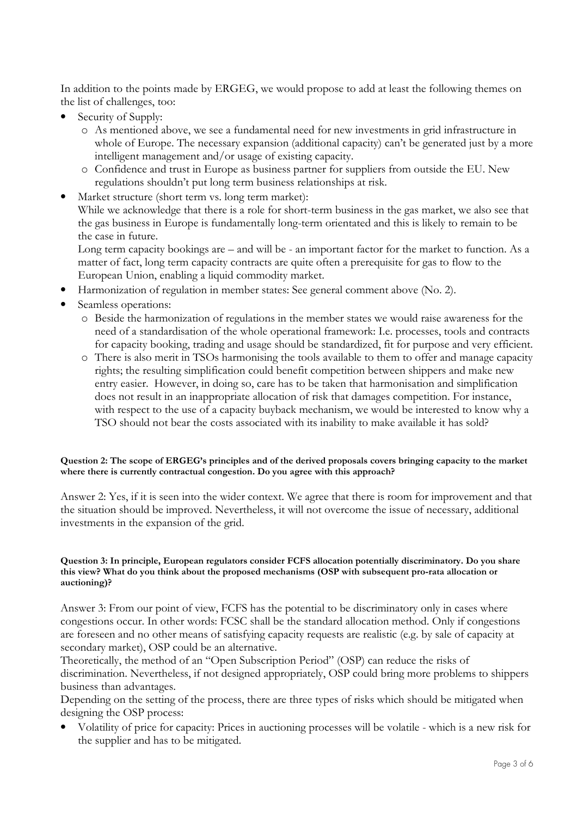In addition to the points made by ERGEG, we would propose to add at least the following themes on the list of challenges, too:

- Security of Supply:
	- o As mentioned above, we see a fundamental need for new investments in grid infrastructure in whole of Europe. The necessary expansion (additional capacity) can't be generated just by a more intelligent management and/or usage of existing capacity.
	- o Confidence and trust in Europe as business partner for suppliers from outside the EU. New regulations shouldn't put long term business relationships at risk.
- Market structure (short term vs. long term market): While we acknowledge that there is a role for short-term business in the gas market, we also see that the gas business in Europe is fundamentally long-term orientated and this is likely to remain to be the case in future.

Long term capacity bookings are – and will be - an important factor for the market to function. As a matter of fact, long term capacity contracts are quite often a prerequisite for gas to flow to the European Union, enabling a liquid commodity market.

- Harmonization of regulation in member states: See general comment above (No. 2).
- Seamless operations:
	- o Beside the harmonization of regulations in the member states we would raise awareness for the need of a standardisation of the whole operational framework: I.e. processes, tools and contracts for capacity booking, trading and usage should be standardized, fit for purpose and very efficient.
	- o There is also merit in TSOs harmonising the tools available to them to offer and manage capacity rights; the resulting simplification could benefit competition between shippers and make new entry easier. However, in doing so, care has to be taken that harmonisation and simplification does not result in an inappropriate allocation of risk that damages competition. For instance, with respect to the use of a capacity buyback mechanism, we would be interested to know why a TSO should not bear the costs associated with its inability to make available it has sold?

#### Question 2: The scope of ERGEG's principles and of the derived proposals covers bringing capacity to the market where there is currently contractual congestion. Do you agree with this approach?

Answer 2: Yes, if it is seen into the wider context. We agree that there is room for improvement and that the situation should be improved. Nevertheless, it will not overcome the issue of necessary, additional investments in the expansion of the grid.

#### Question 3: In principle, European regulators consider FCFS allocation potentially discriminatory. Do you share this view? What do you think about the proposed mechanisms (OSP with subsequent pro-rata allocation or auctioning)?

Answer 3: From our point of view, FCFS has the potential to be discriminatory only in cases where congestions occur. In other words: FCSC shall be the standard allocation method. Only if congestions are foreseen and no other means of satisfying capacity requests are realistic (e.g. by sale of capacity at secondary market), OSP could be an alternative.

Theoretically, the method of an "Open Subscription Period" (OSP) can reduce the risks of discrimination. Nevertheless, if not designed appropriately, OSP could bring more problems to shippers business than advantages.

Depending on the setting of the process, there are three types of risks which should be mitigated when designing the OSP process:

• Volatility of price for capacity: Prices in auctioning processes will be volatile - which is a new risk for the supplier and has to be mitigated.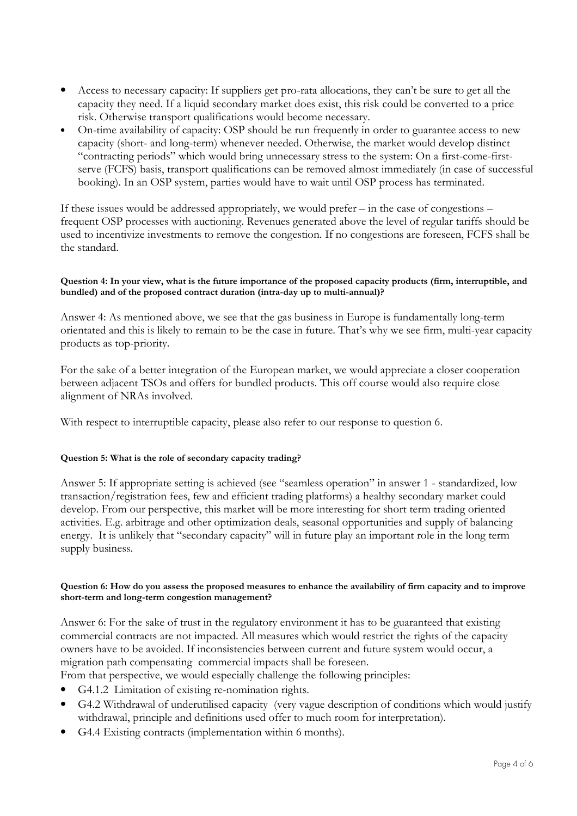- Access to necessary capacity: If suppliers get pro-rata allocations, they can't be sure to get all the capacity they need. If a liquid secondary market does exist, this risk could be converted to a price risk. Otherwise transport qualifications would become necessary.
- On-time availability of capacity: OSP should be run frequently in order to guarantee access to new capacity (short- and long-term) whenever needed. Otherwise, the market would develop distinct "contracting periods" which would bring unnecessary stress to the system: On a first-come-firstserve (FCFS) basis, transport qualifications can be removed almost immediately (in case of successful booking). In an OSP system, parties would have to wait until OSP process has terminated.

If these issues would be addressed appropriately, we would prefer – in the case of congestions – frequent OSP processes with auctioning. Revenues generated above the level of regular tariffs should be used to incentivize investments to remove the congestion. If no congestions are foreseen, FCFS shall be the standard.

## Question 4: In your view, what is the future importance of the proposed capacity products (firm, interruptible, and bundled) and of the proposed contract duration (intra-day up to multi-annual)?

Answer 4: As mentioned above, we see that the gas business in Europe is fundamentally long-term orientated and this is likely to remain to be the case in future. That's why we see firm, multi-year capacity products as top-priority.

For the sake of a better integration of the European market, we would appreciate a closer cooperation between adjacent TSOs and offers for bundled products. This off course would also require close alignment of NRAs involved.

With respect to interruptible capacity, please also refer to our response to question 6.

## Question 5: What is the role of secondary capacity trading?

Answer 5: If appropriate setting is achieved (see "seamless operation" in answer 1 - standardized, low transaction/registration fees, few and efficient trading platforms) a healthy secondary market could develop. From our perspective, this market will be more interesting for short term trading oriented activities. E.g. arbitrage and other optimization deals, seasonal opportunities and supply of balancing energy. It is unlikely that "secondary capacity" will in future play an important role in the long term supply business.

#### Question 6: How do you assess the proposed measures to enhance the availability of firm capacity and to improve short-term and long-term congestion management?

Answer 6: For the sake of trust in the regulatory environment it has to be guaranteed that existing commercial contracts are not impacted. All measures which would restrict the rights of the capacity owners have to be avoided. If inconsistencies between current and future system would occur, a migration path compensating commercial impacts shall be foreseen.

From that perspective, we would especially challenge the following principles:

- G4.1.2 Limitation of existing re-nomination rights.
- G4.2 Withdrawal of underutilised capacity (very vague description of conditions which would justify withdrawal, principle and definitions used offer to much room for interpretation).
- G4.4 Existing contracts (implementation within 6 months).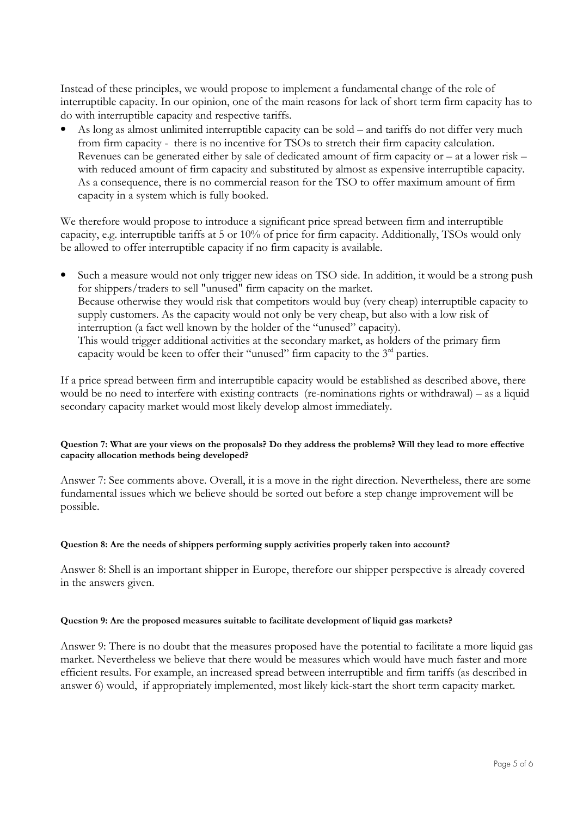Instead of these principles, we would propose to implement a fundamental change of the role of interruptible capacity. In our opinion, one of the main reasons for lack of short term firm capacity has to do with interruptible capacity and respective tariffs.

• As long as almost unlimited interruptible capacity can be sold – and tariffs do not differ very much from firm capacity - there is no incentive for TSOs to stretch their firm capacity calculation. Revenues can be generated either by sale of dedicated amount of firm capacity or – at a lower risk – with reduced amount of firm capacity and substituted by almost as expensive interruptible capacity. As a consequence, there is no commercial reason for the TSO to offer maximum amount of firm capacity in a system which is fully booked.

We therefore would propose to introduce a significant price spread between firm and interruptible capacity, e.g. interruptible tariffs at 5 or 10% of price for firm capacity. Additionally, TSOs would only be allowed to offer interruptible capacity if no firm capacity is available.

• Such a measure would not only trigger new ideas on TSO side. In addition, it would be a strong push for shippers/traders to sell "unused" firm capacity on the market. Because otherwise they would risk that competitors would buy (very cheap) interruptible capacity to supply customers. As the capacity would not only be very cheap, but also with a low risk of interruption (a fact well known by the holder of the "unused" capacity). This would trigger additional activities at the secondary market, as holders of the primary firm capacity would be keen to offer their "unused" firm capacity to the  $3<sup>rd</sup>$  parties.

If a price spread between firm and interruptible capacity would be established as described above, there would be no need to interfere with existing contracts (re-nominations rights or withdrawal) – as a liquid secondary capacity market would most likely develop almost immediately.

## Question 7: What are your views on the proposals? Do they address the problems? Will they lead to more effective capacity allocation methods being developed?

Answer 7: See comments above. Overall, it is a move in the right direction. Nevertheless, there are some fundamental issues which we believe should be sorted out before a step change improvement will be possible.

## Question 8: Are the needs of shippers performing supply activities properly taken into account?

Answer 8: Shell is an important shipper in Europe, therefore our shipper perspective is already covered in the answers given.

## Question 9: Are the proposed measures suitable to facilitate development of liquid gas markets?

Answer 9: There is no doubt that the measures proposed have the potential to facilitate a more liquid gas market. Nevertheless we believe that there would be measures which would have much faster and more efficient results. For example, an increased spread between interruptible and firm tariffs (as described in answer 6) would, if appropriately implemented, most likely kick-start the short term capacity market.